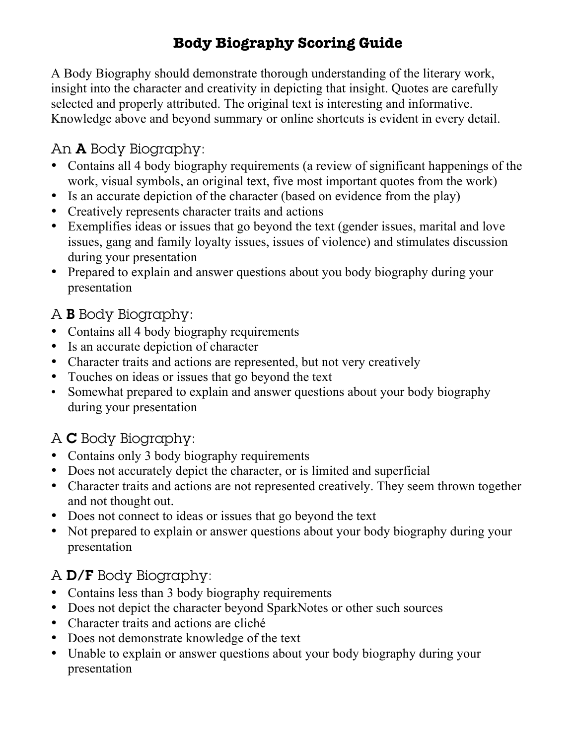# **Body Biography Scoring Guide**

A Body Biography should demonstrate thorough understanding of the literary work, insight into the character and creativity in depicting that insight. Quotes are carefully selected and properly attributed. The original text is interesting and informative. Knowledge above and beyond summary or online shortcuts is evident in every detail.

## An A Body Biography:

- Contains all 4 body biography requirements (a review of significant happenings of the work, visual symbols, an original text, five most important quotes from the work)
- Is an accurate depiction of the character (based on evidence from the play)
- Creatively represents character traits and actions
- Exemplifies ideas or issues that go beyond the text (gender issues, marital and love issues, gang and family loyalty issues, issues of violence) and stimulates discussion during your presentation
- Prepared to explain and answer questions about you body biography during your presentation

## A B Body Biography:

- Contains all 4 body biography requirements
- Is an accurate depiction of character
- Character traits and actions are represented, but not very creatively
- Touches on ideas or issues that go beyond the text
- Somewhat prepared to explain and answer questions about your body biography during your presentation

# A C Body Biography:

- Contains only 3 body biography requirements
- Does not accurately depict the character, or is limited and superficial
- Character traits and actions are not represented creatively. They seem thrown together and not thought out.
- Does not connect to ideas or issues that go beyond the text
- Not prepared to explain or answer questions about your body biography during your presentation

## A D/F Body Biography:

- Contains less than 3 body biography requirements
- Does not depict the character beyond SparkNotes or other such sources
- Character traits and actions are cliché
- Does not demonstrate knowledge of the text
- Unable to explain or answer questions about your body biography during your presentation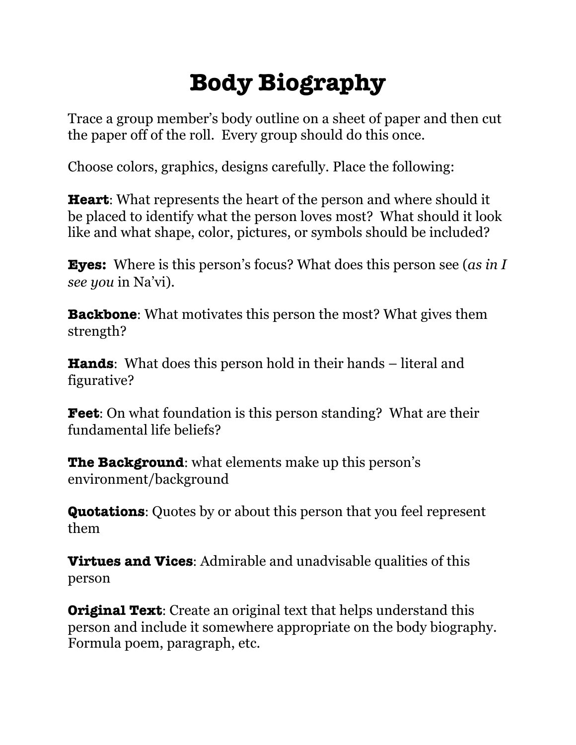# **Body Biography**

Trace a group member's body outline on a sheet of paper and then cut the paper off of the roll. Every group should do this once.

Choose colors, graphics, designs carefully. Place the following:

**Heart**: What represents the heart of the person and where should it be placed to identify what the person loves most? What should it look like and what shape, color, pictures, or symbols should be included?

**Eyes:** Where is this person's focus? What does this person see (*as in I see you* in Na'vi).

**Backbone**: What motivates this person the most? What gives them strength?

**Hands**: What does this person hold in their hands – literal and figurative?

**Feet**: On what foundation is this person standing? What are their fundamental life beliefs?

**The Background:** what elements make up this person's environment/background

**Quotations**: Quotes by or about this person that you feel represent them

**Virtues and Vices**: Admirable and unadvisable qualities of this person

**Original Text:** Create an original text that helps understand this person and include it somewhere appropriate on the body biography. Formula poem, paragraph, etc.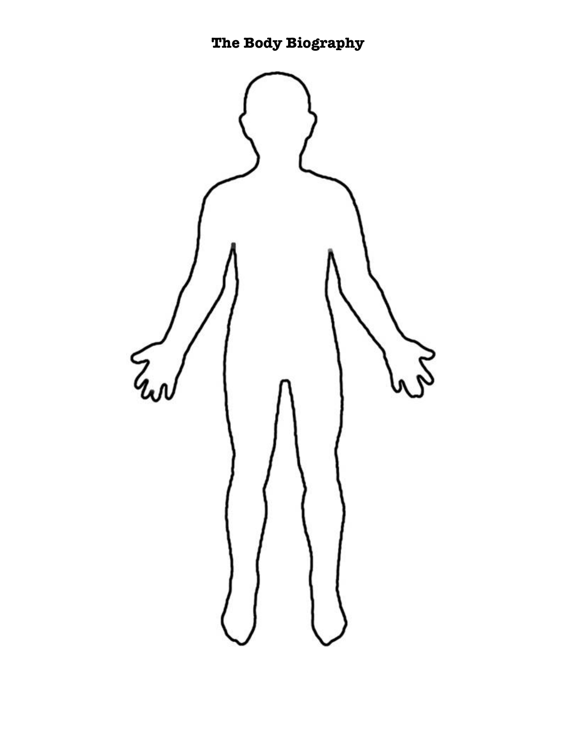**The Body Biography**

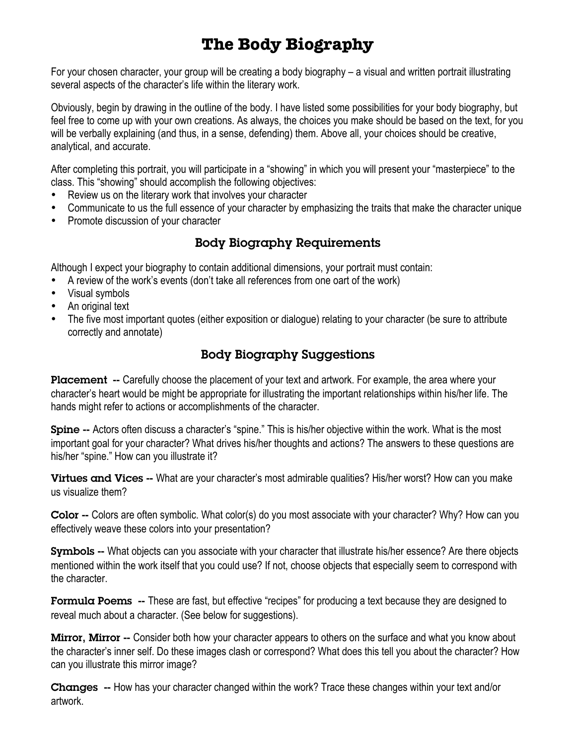# **The Body Biography**

For your chosen character, your group will be creating a body biography – a visual and written portrait illustrating several aspects of the character's life within the literary work.

Obviously, begin by drawing in the outline of the body. I have listed some possibilities for your body biography, but feel free to come up with your own creations. As always, the choices you make should be based on the text, for you will be verbally explaining (and thus, in a sense, defending) them. Above all, your choices should be creative, analytical, and accurate.

After completing this portrait, you will participate in a "showing" in which you will present your "masterpiece" to the class. This "showing" should accomplish the following objectives:

- Review us on the literary work that involves your character
- Communicate to us the full essence of your character by emphasizing the traits that make the character unique
- Promote discussion of your character

#### Body Biography Requirements

Although I expect your biography to contain additional dimensions, your portrait must contain:

- A review of the work's events (don't take all references from one oart of the work)
- Visual symbols
- An original text
- The five most important quotes (either exposition or dialogue) relating to your character (be sure to attribute correctly and annotate)

### Body Biography Suggestions

Placement -- Carefully choose the placement of your text and artwork. For example, the area where your character's heart would be might be appropriate for illustrating the important relationships within his/her life. The hands might refer to actions or accomplishments of the character.

Spine -- Actors often discuss a character's "spine." This is his/her objective within the work. What is the most important goal for your character? What drives his/her thoughts and actions? The answers to these questions are his/her "spine." How can you illustrate it?

**Virtues and Vices --** What are your character's most admirable qualities? His/her worst? How can you make us visualize them?

Color -- Colors are often symbolic. What color(s) do you most associate with your character? Why? How can you effectively weave these colors into your presentation?

Symbols -- What objects can you associate with your character that illustrate his/her essence? Are there objects mentioned within the work itself that you could use? If not, choose objects that especially seem to correspond with the character.

Formula Poems -- These are fast, but effective "recipes" for producing a text because they are designed to reveal much about a character. (See below for suggestions).

**Mirror, Mirror** -- Consider both how your character appears to others on the surface and what you know about the character's inner self. Do these images clash or correspond? What does this tell you about the character? How can you illustrate this mirror image?

Changes -- How has your character changed within the work? Trace these changes within your text and/or artwork.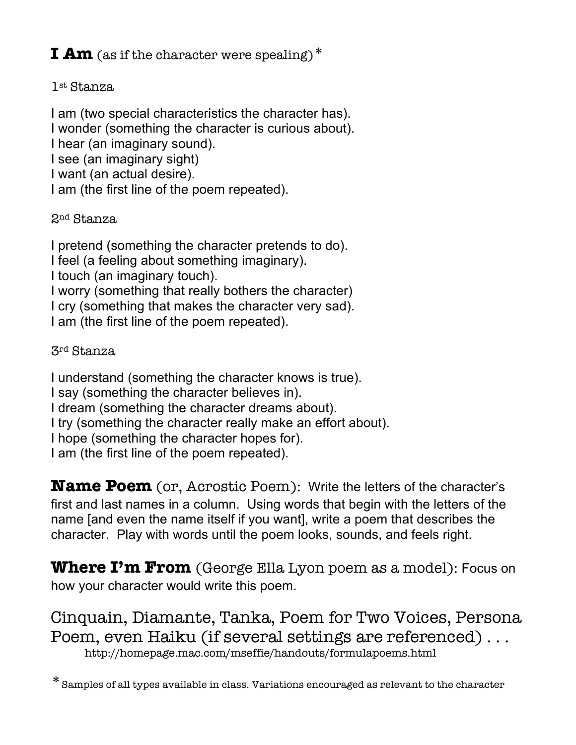## **I Am** (as if the character were spealing)<sup>\*</sup>

### 1st Stanza

I am (two special characteristics the character has). I wonder (something the character is curious about). I hear (an imaginary sound). I see (an imaginary sight) I want (an actual desire). I am (the first line of the poem repeated).

2nd Stanza

I pretend (something the character pretends to do). I feel (a feeling about something imaginary). I touch (an imaginary touch). I worry (something that really bothers the character) I cry (something that makes the character very sad). I am (the first line of the poem repeated).

3rd Stanza

I understand (something the character knows is true). I say (something the character believes in). I dream (something the character dreams about). I try (something the character really make an effort about). I hope (something the character hopes for). I am (the first line of the poem repeated).

**Name Poem** (or, Acrostic Poem): Write the letters of the character's first and last names in a column. Using words that begin with the letters of the name [and even the name itself if you want], write a poem that describes the character. Play with words until the poem looks, sounds, and feels right.

**Where I'm From** (George Ella Lyon poem as a model): Focus on how your character would write this poem.

Cinquain, Diamante, Tanka, Poem for Two Voices, Persona Poem, even Haiku (if several settings are referenced) . . . http://homepage.mac.com/mseffie/handouts/formulapoems.html

\*Samples of all types available in class. Variations encouraged as relevant to the character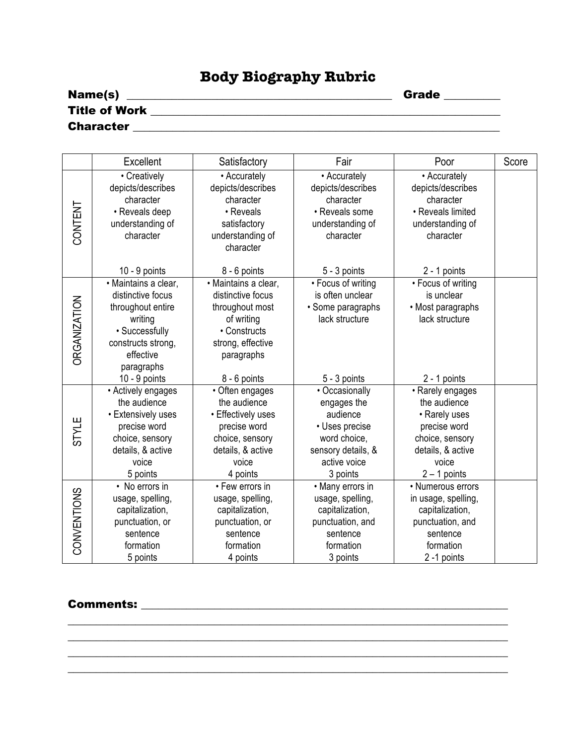## **Body Biography Rubric**

| Name(s)              | <b>Grade</b> |
|----------------------|--------------|
| <b>Title of Work</b> |              |
| <b>Character</b>     |              |

|                     | Excellent                                                                                                                                                | Satisfactory                                                                                                                                       | Fair                                                                                                                                          | Poor                                                                                                                                                 | Score |
|---------------------|----------------------------------------------------------------------------------------------------------------------------------------------------------|----------------------------------------------------------------------------------------------------------------------------------------------------|-----------------------------------------------------------------------------------------------------------------------------------------------|------------------------------------------------------------------------------------------------------------------------------------------------------|-------|
| CONTENT             | • Creatively<br>depicts/describes<br>character<br>• Reveals deep<br>understanding of<br>character<br>$10 - 9$ points                                     | • Accurately<br>depicts/describes<br>character<br>• Reveals<br>satisfactory<br>understanding of<br>character<br>8 - 6 points                       | • Accurately<br>depicts/describes<br>character<br>• Reveals some<br>understanding of<br>character<br>$5 - 3$ points                           | • Accurately<br>depicts/describes<br>character<br>• Reveals limited<br>understanding of<br>character<br>$2 - 1$ points                               |       |
| <b>ORGANIZATION</b> | · Maintains a clear,<br>distinctive focus<br>throughout entire<br>writing<br>• Successfully<br>constructs strong,<br>effective<br>paragraphs             | · Maintains a clear,<br>distinctive focus<br>throughout most<br>of writing<br>• Constructs<br>strong, effective<br>paragraphs                      | • Focus of writing<br>is often unclear<br>· Some paragraphs<br>lack structure                                                                 | • Focus of writing<br>is unclear<br>• Most paragraphs<br>lack structure                                                                              |       |
| <b>STYLE</b>        | $10 - 9$ points<br>• Actively engages<br>the audience<br>• Extensively uses<br>precise word<br>choice, sensory<br>details, & active<br>voice<br>5 points | 8 - 6 points<br>• Often engages<br>the audience<br>• Effectively uses<br>precise word<br>choice, sensory<br>details, & active<br>voice<br>4 points | 5 - 3 points<br>• Occasionally<br>engages the<br>audience<br>• Uses precise<br>word choice,<br>sensory details, &<br>active voice<br>3 points | 2 - 1 points<br>• Rarely engages<br>the audience<br>• Rarely uses<br>precise word<br>choice, sensory<br>details, & active<br>voice<br>$2 - 1$ points |       |
| CONVENTIONS         | • No errors in<br>usage, spelling,<br>capitalization,<br>punctuation, or<br>sentence<br>formation<br>5 points                                            | • Few errors in<br>usage, spelling,<br>capitalization,<br>punctuation, or<br>sentence<br>formation<br>4 points                                     | • Many errors in<br>usage, spelling,<br>capitalization,<br>punctuation, and<br>sentence<br>formation<br>3 points                              | • Numerous errors<br>in usage, spelling,<br>capitalization,<br>punctuation, and<br>sentence<br>formation<br>2 -1 points                              |       |

\_\_\_\_\_\_\_\_\_\_\_\_\_\_\_\_\_\_\_\_\_\_\_\_\_\_\_\_\_\_\_\_\_\_\_\_\_\_\_\_\_\_\_\_\_\_\_\_\_\_\_\_\_\_\_\_\_\_\_\_\_\_\_\_\_\_\_\_\_\_\_\_\_\_\_\_\_\_ \_\_\_\_\_\_\_\_\_\_\_\_\_\_\_\_\_\_\_\_\_\_\_\_\_\_\_\_\_\_\_\_\_\_\_\_\_\_\_\_\_\_\_\_\_\_\_\_\_\_\_\_\_\_\_\_\_\_\_\_\_\_\_\_\_\_\_\_\_\_\_\_\_\_\_\_\_\_ \_\_\_\_\_\_\_\_\_\_\_\_\_\_\_\_\_\_\_\_\_\_\_\_\_\_\_\_\_\_\_\_\_\_\_\_\_\_\_\_\_\_\_\_\_\_\_\_\_\_\_\_\_\_\_\_\_\_\_\_\_\_\_\_\_\_\_\_\_\_\_\_\_\_\_\_\_\_ \_\_\_\_\_\_\_\_\_\_\_\_\_\_\_\_\_\_\_\_\_\_\_\_\_\_\_\_\_\_\_\_\_\_\_\_\_\_\_\_\_\_\_\_\_\_\_\_\_\_\_\_\_\_\_\_\_\_\_\_\_\_\_\_\_\_\_\_\_\_\_\_\_\_\_\_\_\_

#### Comments: \_\_\_\_\_\_\_\_\_\_\_\_\_\_\_\_\_\_\_\_\_\_\_\_\_\_\_\_\_\_\_\_\_\_\_\_\_\_\_\_\_\_\_\_\_\_\_\_\_\_\_\_\_\_\_\_\_\_\_\_\_\_\_\_\_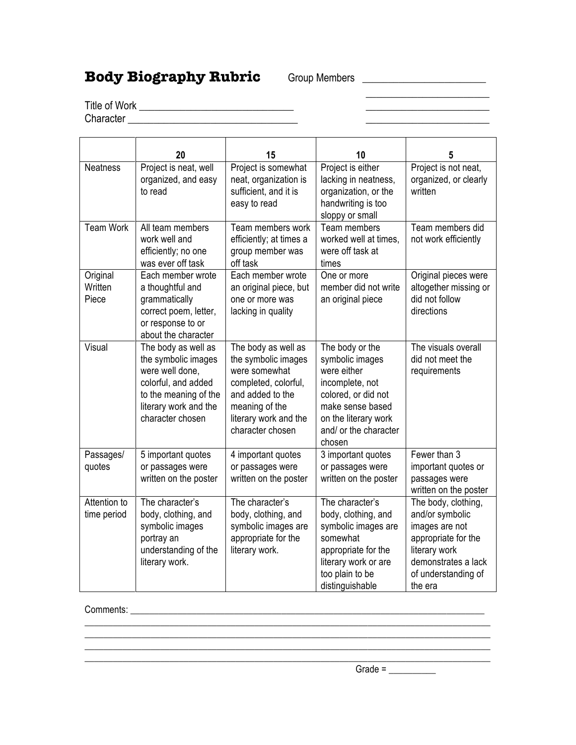## **Body Biography Rubric** Group Members **\_\_\_\_\_\_\_\_\_\_\_\_\_**

 $\mathcal{L}_\text{max}$  , which is a set of the set of the set of the set of the set of the set of the set of the set of the set of the set of the set of the set of the set of the set of the set of the set of the set of the set of

Title of Work **Example 20** Character \_\_\_\_\_\_\_\_\_\_\_\_\_\_\_\_\_\_\_\_\_\_\_\_\_\_\_\_\_\_\_\_\_ \_\_\_\_\_\_\_\_\_\_\_\_\_\_\_\_\_\_\_\_\_\_\_\_

**20 15 10 5** Neatness | Project is neat, well organized, and easy to read Project is somewhat neat, organization is sufficient, and it is easy to read Project is either lacking in neatness, organization, or the handwriting is too sloppy or small Project is not neat, organized, or clearly written Team Work | All team members work well and efficiently; no one was ever off task Team members work efficiently; at times a group member was off task Team members worked well at times, were off task at times Team members did not work efficiently **Original Written** Piece Each member wrote a thoughtful and grammatically correct poem, letter, or response to or about the character Each member wrote an original piece, but one or more was lacking in quality One or more member did not write an original piece Original pieces were altogether missing or did not follow directions Visual The body as well as the symbolic images were well done, colorful, and added to the meaning of the literary work and the character chosen The body as well as the symbolic images were somewhat completed, colorful, and added to the meaning of the literary work and the character chosen The body or the symbolic images were either incomplete, not colored, or did not make sense based on the literary work and/ or the character chosen The visuals overall did not meet the requirements Passages/ quotes 5 important quotes or passages were written on the poster 4 important quotes or passages were written on the poster 3 important quotes or passages were written on the poster Fewer than 3 important quotes or passages were written on the poster Attention to time period The character's body, clothing, and symbolic images portray an understanding of the literary work. The character's body, clothing, and symbolic images are appropriate for the literary work. The character's body, clothing, and symbolic images are somewhat appropriate for the literary work or are too plain to be distinguishable The body, clothing, and/or symbolic images are not appropriate for the literary work demonstrates a lack of understanding of the era

\_\_\_\_\_\_\_\_\_\_\_\_\_\_\_\_\_\_\_\_\_\_\_\_\_\_\_\_\_\_\_\_\_\_\_\_\_\_\_\_\_\_\_\_\_\_\_\_\_\_\_\_\_\_\_\_\_\_\_\_\_\_\_\_\_\_\_\_\_\_\_\_\_\_\_\_\_\_\_\_\_\_\_\_\_\_ \_\_\_\_\_\_\_\_\_\_\_\_\_\_\_\_\_\_\_\_\_\_\_\_\_\_\_\_\_\_\_\_\_\_\_\_\_\_\_\_\_\_\_\_\_\_\_\_\_\_\_\_\_\_\_\_\_\_\_\_\_\_\_\_\_\_\_\_\_\_\_\_\_\_\_\_\_\_\_\_\_\_\_\_\_\_  $\_$  ,  $\_$  ,  $\_$  ,  $\_$  ,  $\_$  ,  $\_$  ,  $\_$  ,  $\_$  ,  $\_$  ,  $\_$  ,  $\_$  ,  $\_$  ,  $\_$  ,  $\_$  ,  $\_$  ,  $\_$  ,  $\_$  ,  $\_$  ,  $\_$  ,  $\_$  $\_$  ,  $\_$  ,  $\_$  ,  $\_$  ,  $\_$  ,  $\_$  ,  $\_$  ,  $\_$  ,  $\_$  ,  $\_$  ,  $\_$  ,  $\_$  ,  $\_$  ,  $\_$  ,  $\_$  ,  $\_$  ,  $\_$  ,  $\_$  ,  $\_$  ,  $\_$ 

Comments: with the community of the community of the community of the community of the community of the community of the community of the community of the community of the community of the community of the community of the

Grade = \_\_\_\_\_\_\_\_\_\_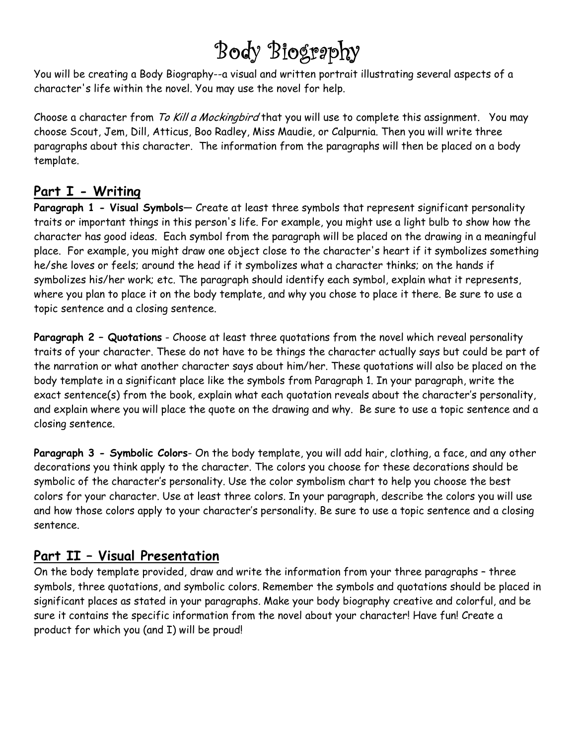# Body Biography

You will be creating a Body Biography--a visual and written portrait illustrating several aspects of a character's life within the novel. You may use the novel for help.

Choose a character from To Kill a Mockingbird that you will use to complete this assignment. You may choose Scout, Jem, Dill, Atticus, Boo Radley, Miss Maudie, or Calpurnia. Then you will write three paragraphs about this character. The information from the paragraphs will then be placed on a body template.

## Part I - Writing

Paragraph 1 - Visual Symbols- Create at least three symbols that represent significant personality traits or important things in this person's life. For example, you might use a light bulb to show how the character has good ideas. Each symbol from the paragraph will be placed on the drawing in a meaningful place. For example, you might draw one object close to the character's heart if it symbolizes something he/she loves or feels; around the head if it symbolizes what a character thinks; on the hands if symbolizes his/her work; etc. The paragraph should identify each symbol, explain what it represents, where you plan to place it on the body template, and why you chose to place it there. Be sure to use a topic sentence and a closing sentence.

Paragraph 2 - Quotations - Choose at least three quotations from the novel which reveal personality traits of your character. These do not have to be things the character actually says but could be part of the narration or what another character says about him/her. These quotations will also be placed on the body template in a significant place like the symbols from Paragraph 1. In your paragraph, write the exact sentence(s) from the book, explain what each quotation reveals about the character's personality, and explain where you will place the quote on the drawing and why. Be sure to use a topic sentence and a closing sentence.

Paragraph 3 - Symbolic Colors- On the body template, you will add hair, clothing, a face, and any other decorations you think apply to the character. The colors you choose for these decorations should be symbolic of the character's personality. Use the color symbolism chart to help you choose the best colors for your character. Use at least three colors. In your paragraph, describe the colors you will use and how those colors apply to your character's personality. Be sure to use a topic sentence and a closing sentence.

## Part II – Visual Presentation

On the body template provided, draw and write the information from your three paragraphs – three symbols, three quotations, and symbolic colors. Remember the symbols and quotations should be placed in significant places as stated in your paragraphs. Make your body biography creative and colorful, and be sure it contains the specific information from the novel about your character! Have fun! Create a product for which you (and I) will be proud!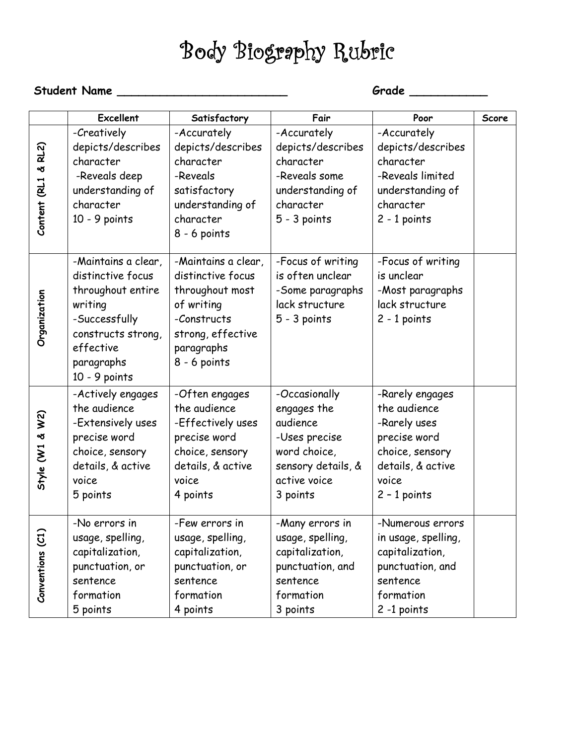# Body Biography Rubric

## Student Name \_\_\_\_\_\_\_\_\_\_\_\_\_\_\_\_\_\_\_\_\_\_\_\_ Grade \_\_\_\_\_\_\_\_\_\_\_

|                     | <b>Excellent</b>                                                                                                                                              | Satisfactory                                                                                                                                  | Fair                                                                                                                        | Poor                                                                                                                               | Score |
|---------------------|---------------------------------------------------------------------------------------------------------------------------------------------------------------|-----------------------------------------------------------------------------------------------------------------------------------------------|-----------------------------------------------------------------------------------------------------------------------------|------------------------------------------------------------------------------------------------------------------------------------|-------|
| Content (RL1 & RL2) | -Creatively<br>depicts/describes<br>character<br>-Reveals deep<br>understanding of<br>character<br>$10 - 9$ points                                            | -Accurately<br>depicts/describes<br>character<br>-Reveals<br>satisfactory<br>understanding of<br>character<br>$8 - 6$ points                  | -Accurately<br>depicts/describes<br>character<br>-Reveals some<br>understanding of<br>character<br>$5 - 3$ points           | -Accurately<br>depicts/describes<br>character<br>-Reveals limited<br>understanding of<br>character<br>$2 - 1$ points               |       |
| Organization        | -Maintains a clear,<br>distinctive focus<br>throughout entire<br>writing<br>-Successfully<br>constructs strong,<br>effective<br>paragraphs<br>$10 - 9$ points | -Maintains a clear,<br>distinctive focus<br>throughout most<br>of writing<br>-Constructs<br>strong, effective<br>paragraphs<br>$8 - 6$ points | -Focus of writing<br>is often unclear<br>-Some paragraphs<br>lack structure<br>5 - 3 points                                 | -Focus of writing<br>is unclear<br>-Most paragraphs<br>lack structure<br>$2 - 1$ points                                            |       |
| Style $(W1 \& W2)$  | -Actively engages<br>the audience<br>-Extensively uses<br>precise word<br>choice, sensory<br>details, & active<br>voice<br>5 points                           | -Often engages<br>the audience<br>-Effectively uses<br>precise word<br>choice, sensory<br>details, & active<br>voice<br>4 points              | -Occasionally<br>engages the<br>audience<br>-Uses precise<br>word choice,<br>sensory details, &<br>active voice<br>3 points | -Rarely engages<br>the audience<br>-Rarely uses<br>precise word<br>choice, sensory<br>details, & active<br>voice<br>$2 - 1$ points |       |
| Conventions (C1     | -No errors in<br>usage, spelling,<br>capitalization,<br>punctuation, or<br>sentence<br>formation<br>5 points                                                  | -Few errors in<br>usage, spelling,<br>capitalization,<br>punctuation, or<br>sentence<br>formation<br>4 points                                 | -Many errors in<br>usage, spelling,<br>capitalization,<br>punctuation, and<br>sentence<br>formation<br>3 points             | -Numerous errors<br>in usage, spelling,<br>capitalization,<br>punctuation, and<br>sentence<br>formation<br>2 -1 points             |       |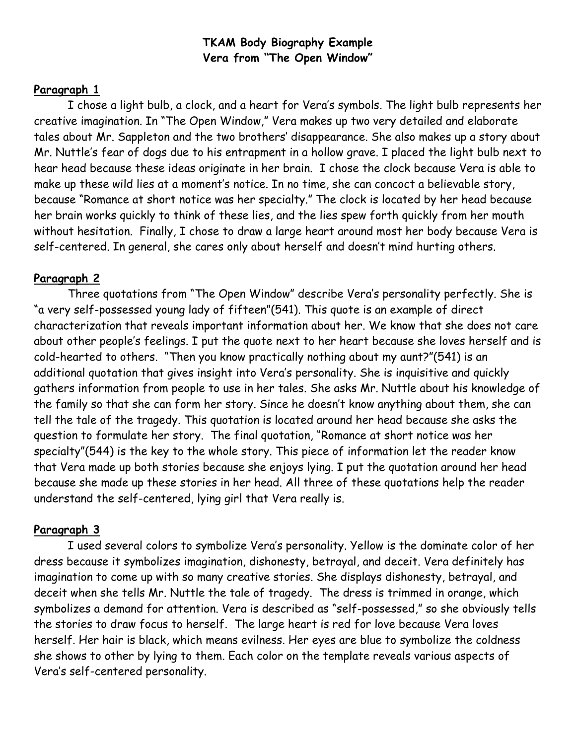#### TKAM Body Biography Example Vera from "The Open Window"

#### Paragraph 1

I chose a light bulb, a clock, and a heart for Vera's symbols. The light bulb represents her creative imagination. In "The Open Window," Vera makes up two very detailed and elaborate tales about Mr. Sappleton and the two brothers' disappearance. She also makes up a story about Mr. Nuttle's fear of dogs due to his entrapment in a hollow grave. I placed the light bulb next to hear head because these ideas originate in her brain. I chose the clock because Vera is able to make up these wild lies at a moment's notice. In no time, she can concoct a believable story, because "Romance at short notice was her specialty." The clock is located by her head because her brain works quickly to think of these lies, and the lies spew forth quickly from her mouth without hesitation. Finally, I chose to draw a large heart around most her body because Vera is self-centered. In general, she cares only about herself and doesn't mind hurting others.

#### Paragraph 2

Three quotations from "The Open Window" describe Vera's personality perfectly. She is "a very self-possessed young lady of fifteen"(541). This quote is an example of direct characterization that reveals important information about her. We know that she does not care about other people's feelings. I put the quote next to her heart because she loves herself and is cold-hearted to others. "Then you know practically nothing about my aunt?"(541) is an additional quotation that gives insight into Vera's personality. She is inquisitive and quickly gathers information from people to use in her tales. She asks Mr. Nuttle about his knowledge of the family so that she can form her story. Since he doesn't know anything about them, she can tell the tale of the tragedy. This quotation is located around her head because she asks the question to formulate her story. The final quotation, "Romance at short notice was her specialty"(544) is the key to the whole story. This piece of information let the reader know that Vera made up both stories because she enjoys lying. I put the quotation around her head because she made up these stories in her head. All three of these quotations help the reader understand the self-centered, lying girl that Vera really is.

#### Paragraph 3

I used several colors to symbolize Vera's personality. Yellow is the dominate color of her dress because it symbolizes imagination, dishonesty, betrayal, and deceit. Vera definitely has imagination to come up with so many creative stories. She displays dishonesty, betrayal, and deceit when she tells Mr. Nuttle the tale of tragedy. The dress is trimmed in orange, which symbolizes a demand for attention. Vera is described as "self-possessed," so she obviously tells the stories to draw focus to herself. The large heart is red for love because Vera loves herself. Her hair is black, which means evilness. Her eyes are blue to symbolize the coldness she shows to other by lying to them. Each color on the template reveals various aspects of Vera's self-centered personality.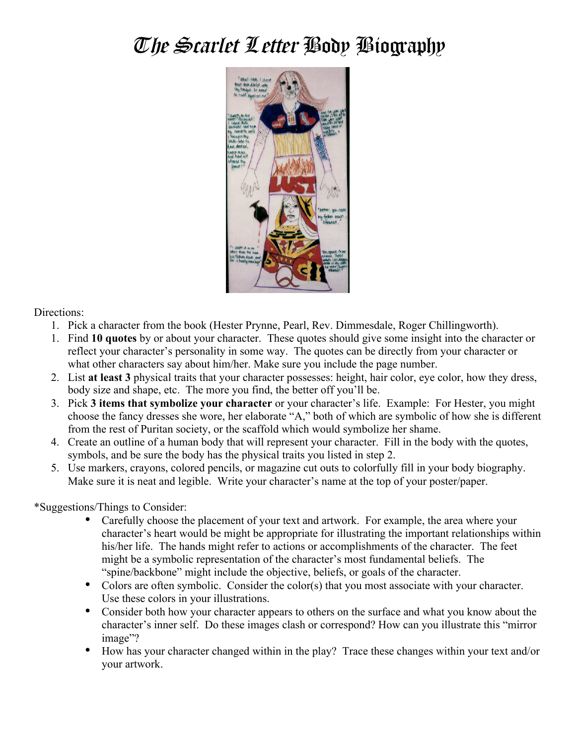# The Scarlet Letter Body Biography



Directions:

- 1. Pick a character from the book (Hester Prynne, Pearl, Rev. Dimmesdale, Roger Chillingworth).
- 1. Find **10 quotes** by or about your character. These quotes should give some insight into the character or reflect your character's personality in some way. The quotes can be directly from your character or what other characters say about him/her. Make sure you include the page number.
- 2. List **at least 3** physical traits that your character possesses: height, hair color, eye color, how they dress, body size and shape, etc. The more you find, the better off you'll be.
- 3. Pick **3 items that symbolize your character** or your character's life. Example: For Hester, you might choose the fancy dresses she wore, her elaborate "A," both of which are symbolic of how she is different from the rest of Puritan society, or the scaffold which would symbolize her shame.
- 4. Create an outline of a human body that will represent your character. Fill in the body with the quotes, symbols, and be sure the body has the physical traits you listed in step 2.
- 5. Use markers, crayons, colored pencils, or magazine cut outs to colorfully fill in your body biography. Make sure it is neat and legible. Write your character's name at the top of your poster/paper.

\*Suggestions/Things to Consider:

- Carefully choose the placement of your text and artwork. For example, the area where your character's heart would be might be appropriate for illustrating the important relationships within his/her life. The hands might refer to actions or accomplishments of the character. The feet might be a symbolic representation of the character's most fundamental beliefs. The "spine/backbone" might include the objective, beliefs, or goals of the character.
- Colors are often symbolic. Consider the color(s) that you most associate with your character. Use these colors in your illustrations.
- Consider both how your character appears to others on the surface and what you know about the character's inner self. Do these images clash or correspond? How can you illustrate this "mirror image"?
- How has your character changed within in the play? Trace these changes within your text and/or your artwork.